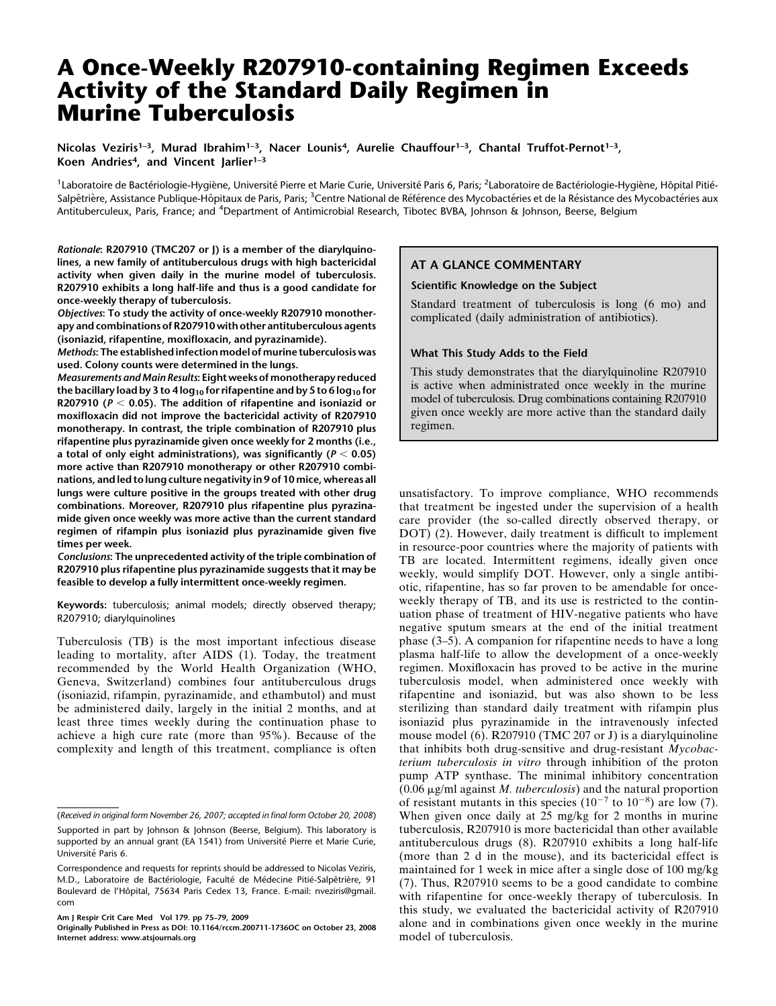# A Once-Weekly R207910-containing Regimen Exceeds Activity of the Standard Daily Regimen in Murine Tuberculosis

Nicolas Veziris<sup>1-3</sup>, Murad Ibrahim<sup>1-3</sup>, Nacer Lounis<sup>4</sup>, Aurelie Chauffour<sup>1-3</sup>, Chantal Truffot-Pernot<sup>1-3</sup>, Koen Andries<sup>4</sup>, and Vincent Jarlier<sup>1-3</sup>

<sup>1</sup>Laboratoire de Bactériologie-Hygiène, Université Pierre et Marie Curie, Université Paris 6, Paris; <sup>2</sup>Laboratoire de Bactériologie-Hygiène, Hôpital Pitié-Salpêtrière, Assistance Publique-Hôpitaux de Paris, Paris; <sup>3</sup>Centre National de Référence des Mycobactéries et de la Résistance des Mycobactéries aux Antituberculeux, Paris, France; and <sup>4</sup>Department of Antimicrobial Research, Tibotec BVBA, Johnson & Johnson, Beerse, Belgium

Rationale: R207910 (TMC207 or J) is a member of the diarylquinolines, a new family of antituberculous drugs with high bactericidal activity when given daily in the murine model of tuberculosis. R207910 exhibits a long half-life and thus is a good candidate for once-weekly therapy of tuberculosis.

Objectives: To study the activity of once-weekly R207910 monotherapy and combinations of R207910 with other antituberculous agents (isoniazid, rifapentine, moxifloxacin, and pyrazinamide).

Methods: The established infection model of murine tuberculosis was used. Colony counts were determined in the lungs.

Measurements and Main Results: Eight weeks of monotherapy reduced the bacillary load by 3 to 4  $log_{10}$  for rifapentine and by 5 to 6  $log_{10}$  for R207910 ( $P < 0.05$ ). The addition of rifapentine and isoniazid or moxifloxacin did not improve the bactericidal activity of R207910 monotherapy. In contrast, the triple combination of R207910 plus rifapentine plus pyrazinamide given once weekly for 2 months (i.e., a total of only eight administrations), was significantly ( $P < 0.05$ ) more active than R207910 monotherapy or other R207910 combinations, and led to lung culture negativity in 9 of 10 mice, whereas all lungs were culture positive in the groups treated with other drug combinations. Moreover, R207910 plus rifapentine plus pyrazinamide given once weekly was more active than the current standard regimen of rifampin plus isoniazid plus pyrazinamide given five times per week.

Conclusions: The unprecedented activity of the triple combination of R207910 plus rifapentine plus pyrazinamide suggests that it may be feasible to develop a fully intermittent once-weekly regimen.

Keywords: tuberculosis; animal models; directly observed therapy; R207910; diarylquinolines

Tuberculosis (TB) is the most important infectious disease leading to mortality, after AIDS (1). Today, the treatment recommended by the World Health Organization (WHO, Geneva, Switzerland) combines four antituberculous drugs (isoniazid, rifampin, pyrazinamide, and ethambutol) and must be administered daily, largely in the initial 2 months, and at least three times weekly during the continuation phase to achieve a high cure rate (more than 95%). Because of the complexity and length of this treatment, compliance is often

Am J Respir Crit Care Med Vol 179. pp 75–79, 2009

## AT A GLANCE COMMENTARY

## Scientific Knowledge on the Subject

Standard treatment of tuberculosis is long (6 mo) and complicated (daily administration of antibiotics).

#### What This Study Adds to the Field

This study demonstrates that the diarylquinoline R207910 is active when administrated once weekly in the murine model of tuberculosis. Drug combinations containing R207910 given once weekly are more active than the standard daily regimen.

unsatisfactory. To improve compliance, WHO recommends that treatment be ingested under the supervision of a health care provider (the so-called directly observed therapy, or DOT) (2). However, daily treatment is difficult to implement in resource-poor countries where the majority of patients with TB are located. Intermittent regimens, ideally given once weekly, would simplify DOT. However, only a single antibiotic, rifapentine, has so far proven to be amendable for onceweekly therapy of TB, and its use is restricted to the continuation phase of treatment of HIV-negative patients who have negative sputum smears at the end of the initial treatment phase (3–5). A companion for rifapentine needs to have a long plasma half-life to allow the development of a once-weekly regimen. Moxifloxacin has proved to be active in the murine tuberculosis model, when administered once weekly with rifapentine and isoniazid, but was also shown to be less sterilizing than standard daily treatment with rifampin plus isoniazid plus pyrazinamide in the intravenously infected mouse model (6). R207910 (TMC 207 or J) is a diarylquinoline that inhibits both drug-sensitive and drug-resistant Mycobacterium tuberculosis in vitro through inhibition of the proton pump ATP synthase. The minimal inhibitory concentration (0.06  $\mu$ g/ml against *M. tuberculosis*) and the natural proportion of resistant mutants in this species  $(10^{-7}$  to  $10^{-8}$ ) are low (7). When given once daily at 25 mg/kg for 2 months in murine tuberculosis, R207910 is more bactericidal than other available antituberculous drugs (8). R207910 exhibits a long half-life (more than 2 d in the mouse), and its bactericidal effect is maintained for 1 week in mice after a single dose of 100 mg/kg (7). Thus, R207910 seems to be a good candidate to combine with rifapentine for once-weekly therapy of tuberculosis. In this study, we evaluated the bactericidal activity of R207910 alone and in combinations given once weekly in the murine model of tuberculosis.

<sup>(</sup>Received in original form November 26, 2007; accepted in final form October 20, 2008)

Supported in part by Johnson & Johnson (Beerse, Belgium). This laboratory is supported by an annual grant (EA 1541) from Université Pierre et Marie Curie, Université Paris 6.

Correspondence and requests for reprints should be addressed to Nicolas Veziris, M.D., Laboratoire de Bactériologie, Faculté de Médecine Pitié-Salpêtrière, 91 Boulevard de l'Hôpital, 75634 Paris Cedex 13, France. E-mail: nveziris@gmail. com

Originally Published in Press as DOI: 10.1164/rccm.200711-1736OC on October 23, 2008 Internet address: www.atsjournals.org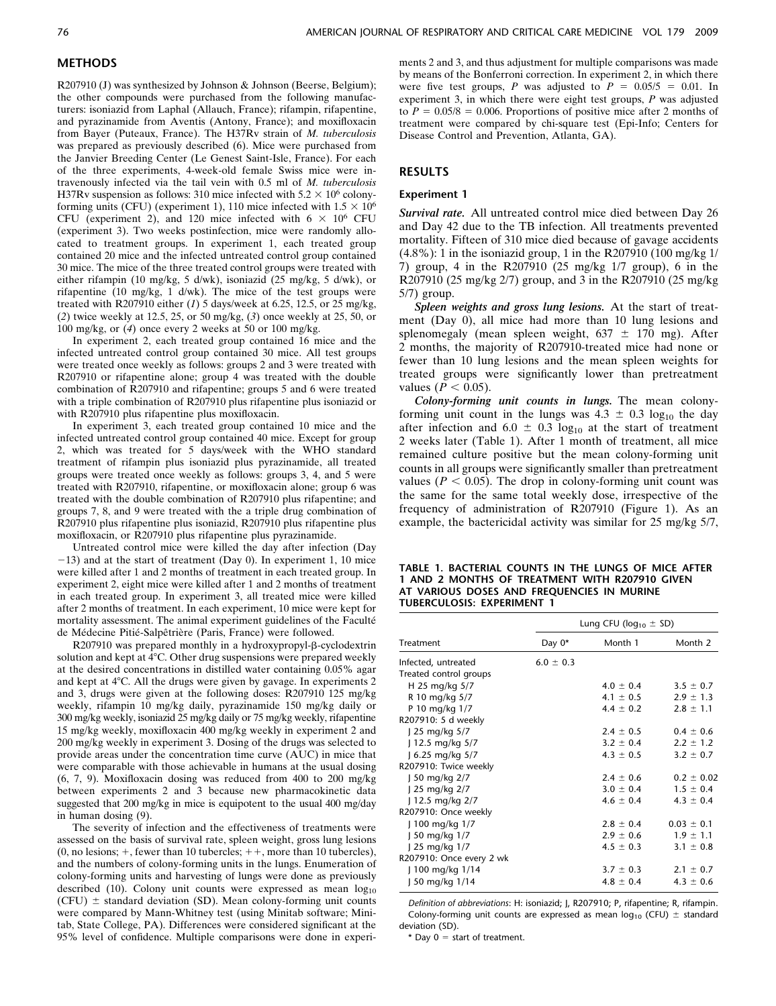## METHODS

R207910 (J) was synthesized by Johnson & Johnson (Beerse, Belgium); the other compounds were purchased from the following manufacturers: isoniazid from Laphal (Allauch, France); rifampin, rifapentine, and pyrazinamide from Aventis (Antony, France); and moxifloxacin from Bayer (Puteaux, France). The H37Rv strain of M. tuberculosis was prepared as previously described (6). Mice were purchased from the Janvier Breeding Center (Le Genest Saint-Isle, France). For each of the three experiments, 4-week-old female Swiss mice were intravenously infected via the tail vein with 0.5 ml of M. tuberculosis H37Rv suspension as follows: 310 mice infected with  $5.2 \times 10^6$  colonyforming units (CFU) (experiment 1), 110 mice infected with  $1.5 \times 10^6$ CFU (experiment 2), and 120 mice infected with  $6 \times 10^6$  CFU (experiment 3). Two weeks postinfection, mice were randomly allocated to treatment groups. In experiment 1, each treated group contained 20 mice and the infected untreated control group contained 30 mice. The mice of the three treated control groups were treated with either rifampin (10 mg/kg, 5 d/wk), isoniazid (25 mg/kg, 5 d/wk), or rifapentine (10 mg/kg, 1 d/wk). The mice of the test groups were treated with R207910 either  $(1)$  5 days/week at 6.25, 12.5, or 25 mg/kg, (2) twice weekly at 12.5, 25, or 50 mg/kg, (3) once weekly at 25, 50, or 100 mg/kg, or (4) once every 2 weeks at 50 or 100 mg/kg.

In experiment 2, each treated group contained 16 mice and the infected untreated control group contained 30 mice. All test groups were treated once weekly as follows: groups 2 and 3 were treated with R207910 or rifapentine alone; group 4 was treated with the double combination of R207910 and rifapentine; groups 5 and 6 were treated with a triple combination of R207910 plus rifapentine plus isoniazid or with R207910 plus rifapentine plus moxifloxacin.

In experiment 3, each treated group contained 10 mice and the infected untreated control group contained 40 mice. Except for group 2, which was treated for 5 days/week with the WHO standard treatment of rifampin plus isoniazid plus pyrazinamide, all treated groups were treated once weekly as follows: groups 3, 4, and 5 were treated with R207910, rifapentine, or moxifloxacin alone; group 6 was treated with the double combination of R207910 plus rifapentine; and groups 7, 8, and 9 were treated with the a triple drug combination of R207910 plus rifapentine plus isoniazid, R207910 plus rifapentine plus moxifloxacin, or R207910 plus rifapentine plus pyrazinamide.

Untreated control mice were killed the day after infection (Day  $-13$ ) and at the start of treatment (Day 0). In experiment 1, 10 mice were killed after 1 and 2 months of treatment in each treated group. In experiment 2, eight mice were killed after 1 and 2 months of treatment in each treated group. In experiment 3, all treated mice were killed after 2 months of treatment. In each experiment, 10 mice were kept for mortality assessment. The animal experiment guidelines of the Faculté de Médecine Pitié-Salpêtrière (Paris, France) were followed.

R207910 was prepared monthly in a hydroxypropyl- $\beta$ -cyclodextrin solution and kept at  $4^{\circ}$ C. Other drug suspensions were prepared weekly at the desired concentrations in distilled water containing 0.05% agar and kept at 4°C. All the drugs were given by gavage. In experiments 2 and 3, drugs were given at the following doses: R207910 125 mg/kg weekly, rifampin 10 mg/kg daily, pyrazinamide 150 mg/kg daily or 300 mg/kg weekly, isoniazid 25 mg/kg daily or 75 mg/kg weekly, rifapentine 15 mg/kg weekly, moxifloxacin 400 mg/kg weekly in experiment 2 and 200 mg/kg weekly in experiment 3. Dosing of the drugs was selected to provide areas under the concentration time curve (AUC) in mice that were comparable with those achievable in humans at the usual dosing (6, 7, 9). Moxifloxacin dosing was reduced from 400 to 200 mg/kg between experiments 2 and 3 because new pharmacokinetic data suggested that 200 mg/kg in mice is equipotent to the usual 400 mg/day in human dosing (9).

The severity of infection and the effectiveness of treatments were assessed on the basis of survival rate, spleen weight, gross lung lesions  $(0, no lesions; +, fewer than 10 tuberculosis; ++, more than 10 tuberculosis),$ and the numbers of colony-forming units in the lungs. Enumeration of colony-forming units and harvesting of lungs were done as previously described (10). Colony unit counts were expressed as mean  $log_{10}$ (CFU)  $\pm$  standard deviation (SD). Mean colony-forming unit counts were compared by Mann-Whitney test (using Minitab software; Minitab, State College, PA). Differences were considered significant at the 95% level of confidence. Multiple comparisons were done in experiments 2 and 3, and thus adjustment for multiple comparisons was made by means of the Bonferroni correction. In experiment 2, in which there were five test groups, P was adjusted to  $P = 0.05/5 = 0.01$ . In experiment 3, in which there were eight test groups, P was adjusted to  $P = 0.05/8 = 0.006$ . Proportions of positive mice after 2 months of treatment were compared by chi-square test (Epi-Info; Centers for Disease Control and Prevention, Atlanta, GA).

## RESULTS

#### Experiment 1

Survival rate. All untreated control mice died between Day 26 and Day 42 due to the TB infection. All treatments prevented mortality. Fifteen of 310 mice died because of gavage accidents (4.8%): 1 in the isoniazid group, 1 in the R207910 (100 mg/kg 1/ 7) group, 4 in the R207910 (25 mg/kg 1/7 group), 6 in the R207910 (25 mg/kg 2/7) group, and 3 in the R207910 (25 mg/kg 5/7) group.

Spleen weights and gross lung lesions. At the start of treatment (Day 0), all mice had more than 10 lung lesions and splenomegaly (mean spleen weight,  $637 \pm 170$  mg). After 2 months, the majority of R207910-treated mice had none or fewer than 10 lung lesions and the mean spleen weights for treated groups were significantly lower than pretreatment values ( $\overline{P}$  < 0.05).

Colony-forming unit counts in lungs. The mean colonyforming unit count in the lungs was  $4.3 \pm 0.3 \log_{10}$  the day after infection and  $6.0 \pm 0.3 \log_{10}$  at the start of treatment 2 weeks later (Table 1). After 1 month of treatment, all mice remained culture positive but the mean colony-forming unit counts in all groups were significantly smaller than pretreatment values ( $P < 0.05$ ). The drop in colony-forming unit count was the same for the same total weekly dose, irrespective of the frequency of administration of R207910 (Figure 1). As an example, the bactericidal activity was similar for 25 mg/kg 5/7,

TABLE 1. BACTERIAL COUNTS IN THE LUNGS OF MICE AFTER 1 AND 2 MONTHS OF TREATMENT WITH R207910 GIVEN AT VARIOUS DOSES AND FREQUENCIES IN MURINE TUBERCULOSIS: EXPERIMENT 1

|                          | Lung CFU ( $log_{10} \pm SD$ ) |               |                |
|--------------------------|--------------------------------|---------------|----------------|
| Treatment                | Day 0*                         | Month 1       | Month 2        |
| Infected, untreated      | $6.0 \pm 0.3$                  |               |                |
| Treated control groups   |                                |               |                |
| H 25 mg/kg 5/7           |                                | $4.0 \pm 0.4$ | $3.5 \pm 0.7$  |
| R 10 mg/kg 5/7           |                                | $4.1 \pm 0.5$ | $2.9 \pm 1.3$  |
| P 10 mg/kg 1/7           |                                | $4.4 \pm 0.2$ | $2.8 \pm 1.1$  |
| R207910: 5 d weekly      |                                |               |                |
| 25 mg/kg $5/7$           |                                | $2.4 \pm 0.5$ | $0.4 \pm 0.6$  |
| 12.5 mg/kg $5/7$         |                                | $3.2 \pm 0.4$ | $2.2 \pm 1.2$  |
| J 6.25 mg/kg 5/7         |                                | $4.3 \pm 0.5$ | $3.2 \pm 0.7$  |
| R207910: Twice weekly    |                                |               |                |
| J 50 mg/kg 2/7           |                                | $2.4 \pm 0.6$ | $0.2 \pm 0.02$ |
| 1 25 mg/kg 2/7           |                                | $3.0 \pm 0.4$ | $1.5 \pm 0.4$  |
| 12.5 mg/kg 2/7           |                                | $4.6 \pm 0.4$ | $4.3 \pm 0.4$  |
| R207910: Once weekly     |                                |               |                |
| J 100 mg/kg 1/7          |                                | $2.8 \pm 0.4$ | $0.03 \pm 0.1$ |
| J 50 mg/kg 1/7           |                                | $2.9 \pm 0.6$ | $1.9 \pm 1.1$  |
| J 25 mg/kg 1/7           |                                | $4.5 \pm 0.3$ | $3.1 \pm 0.8$  |
| R207910: Once every 2 wk |                                |               |                |
| J 100 mg/kg 1/14         |                                | $3.7 \pm 0.3$ | $2.1 \pm 0.7$  |
| J 50 mg/kg 1/14          |                                | $4.8 \pm 0.4$ | $4.3 \pm 0.6$  |

Definition of abbreviations: H: isoniazid; J, R207910; P, rifapentine; R, rifampin. Colony-forming unit counts are expressed as mean  $log_{10}$  (CFU)  $\pm$  standard deviation (SD).

\* Day  $0 =$  start of treatment.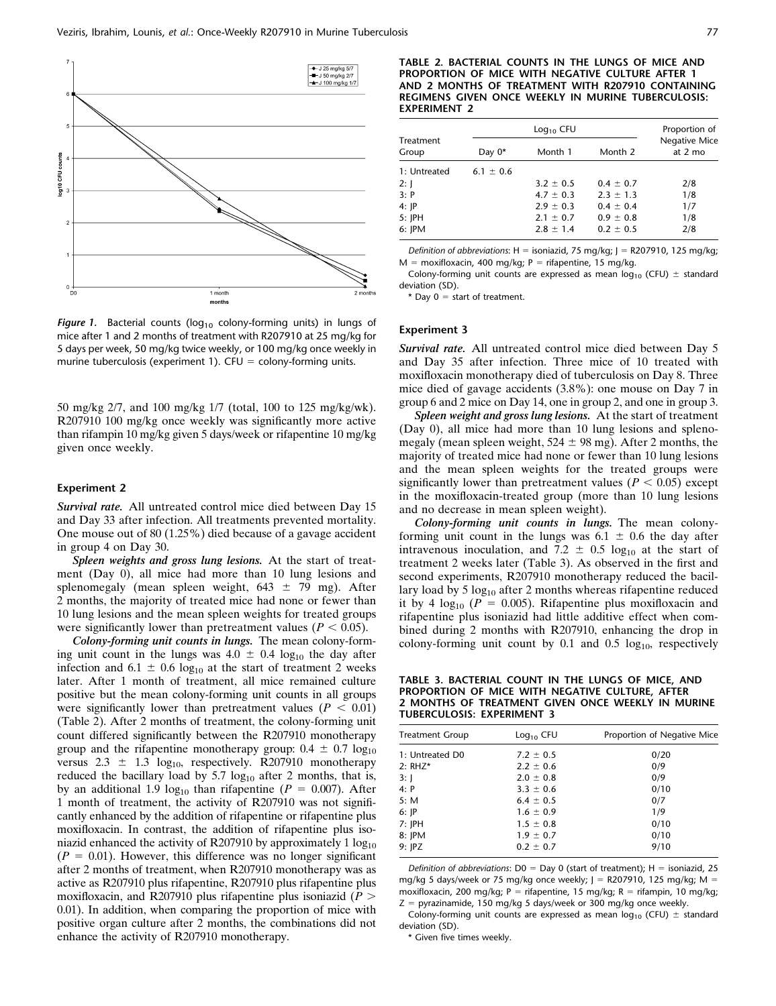

Figure 1. Bacterial counts ( $log_{10}$  colony-forming units) in lungs of mice after 1 and 2 months of treatment with R207910 at 25 mg/kg for 5 days per week, 50 mg/kg twice weekly, or 100 mg/kg once weekly in murine tuberculosis (experiment 1). CFU = colony-forming units.

50 mg/kg 2/7, and 100 mg/kg 1/7 (total, 100 to 125 mg/kg/wk). R207910 100 mg/kg once weekly was significantly more active than rifampin 10 mg/kg given 5 days/week or rifapentine 10 mg/kg given once weekly.

#### Experiment 2

Survival rate. All untreated control mice died between Day 15 and Day 33 after infection. All treatments prevented mortality. One mouse out of 80 (1.25%) died because of a gavage accident in group 4 on Day 30.

Spleen weights and gross lung lesions. At the start of treatment (Day 0), all mice had more than 10 lung lesions and splenomegaly (mean spleen weight,  $643 \pm 79$  mg). After 2 months, the majority of treated mice had none or fewer than 10 lung lesions and the mean spleen weights for treated groups were significantly lower than pretreatment values ( $P < 0.05$ ).

Colony-forming unit counts in lungs. The mean colony-forming unit count in the lungs was  $4.0 \pm 0.4$  log<sub>10</sub> the day after infection and 6.1  $\pm$  0.6 log<sub>10</sub> at the start of treatment 2 weeks later. After 1 month of treatment, all mice remained culture positive but the mean colony-forming unit counts in all groups were significantly lower than pretreatment values ( $P < 0.01$ ) (Table 2). After 2 months of treatment, the colony-forming unit count differed significantly between the R207910 monotherapy group and the rifapentine monotherapy group:  $0.4 \pm 0.7 \log_{10}$ versus  $2.3 \pm 1.3 \log_{10}$ , respectively. R207910 monotherapy reduced the bacillary load by  $5.7 \log_{10}$  after 2 months, that is, by an additional 1.9 log<sub>10</sub> than rifapentine ( $P = 0.007$ ). After 1 month of treatment, the activity of R207910 was not significantly enhanced by the addition of rifapentine or rifapentine plus moxifloxacin. In contrast, the addition of rifapentine plus isoniazid enhanced the activity of R207910 by approximately  $1 \log_{10}$  $(P = 0.01)$ . However, this difference was no longer significant after 2 months of treatment, when R207910 monotherapy was as active as R207910 plus rifapentine, R207910 plus rifapentine plus moxifloxacin, and R207910 plus rifapentine plus isoniazid ( $P >$ 0.01). In addition, when comparing the proportion of mice with positive organ culture after 2 months, the combinations did not enhance the activity of R207910 monotherapy.

|                    | $Log10$ CFU   |               |               | Proportion of            |
|--------------------|---------------|---------------|---------------|--------------------------|
| Treatment<br>Group | Day $0^*$     | Month 1       | Month 2       | Negative Mice<br>at 2 mo |
| 1: Untreated       | $6.1 \pm 0.6$ |               |               |                          |
| 2: J               |               | $3.2 \pm 0.5$ | $0.4 \pm 0.7$ | 2/8                      |
| 3: P               |               | $4.7 \pm 0.3$ | $2.3 \pm 1.3$ | 1/8                      |
| 4: IP              |               | $2.9 \pm 0.3$ | $0.4 \pm 0.4$ | 1/7                      |
| 5: JPH             |               | $2.1 \pm 0.7$ | $0.9 \pm 0.8$ | 1/8                      |
| 6: JPM             |               | $2.8 \pm 1.4$ | $0.2 \pm 0.5$ | 2/8                      |

Definition of abbreviations:  $H =$  isoniazid, 75 mg/kg; J = R207910, 125 mg/kg;  $M =$  moxifloxacin, 400 mg/kg; P = rifapentine, 15 mg/kg.

Colony-forming unit counts are expressed as mean  $log_{10}$  (CFU)  $\pm$  standard deviation (SD).

\* Day  $0 = start$  of treatment.

#### Experiment 3

Survival rate. All untreated control mice died between Day 5 and Day 35 after infection. Three mice of 10 treated with moxifloxacin monotherapy died of tuberculosis on Day 8. Three mice died of gavage accidents (3.8%): one mouse on Day 7 in group 6 and 2 mice on Day 14, one in group 2, and one in group 3.

Spleen weight and gross lung lesions. At the start of treatment (Day 0), all mice had more than 10 lung lesions and splenomegaly (mean spleen weight,  $524 \pm 98$  mg). After 2 months, the majority of treated mice had none or fewer than 10 lung lesions and the mean spleen weights for the treated groups were significantly lower than pretreatment values ( $P < 0.05$ ) except in the moxifloxacin-treated group (more than 10 lung lesions and no decrease in mean spleen weight).

Colony-forming unit counts in lungs. The mean colonyforming unit count in the lungs was  $6.1 \pm 0.6$  the day after intravenous inoculation, and 7.2  $\pm$  0.5 log<sub>10</sub> at the start of treatment 2 weeks later (Table 3). As observed in the first and second experiments, R207910 monotherapy reduced the bacillary load by 5  $log_{10}$  after 2 months whereas rifapentine reduced it by 4  $log_{10}$  ( $P = 0.005$ ). Rifapentine plus moxifloxacin and rifapentine plus isoniazid had little additive effect when combined during 2 months with R207910, enhancing the drop in colony-forming unit count by  $0.1$  and  $0.5 \log_{10}$ , respectively

TABLE 3. BACTERIAL COUNT IN THE LUNGS OF MICE, AND PROPORTION OF MICE WITH NEGATIVE CULTURE, AFTER 2 MONTHS OF TREATMENT GIVEN ONCE WEEKLY IN MURINE TUBERCULOSIS: EXPERIMENT 3

| Treatment Group | $Log10$ CFU   | Proportion of Negative Mice |
|-----------------|---------------|-----------------------------|
| 1: Untreated D0 | $7.2 \pm 0.5$ | 0/20                        |
| 2: RHZ*         | $2.2 \pm 0.6$ | 0/9                         |
| 3: J            | $2.0 \pm 0.8$ | 0/9                         |
| 4: P            | $3.3 \pm 0.6$ | 0/10                        |
| 5: M            | $6.4 \pm 0.5$ | 0/7                         |
| 6: JP           | $1.6 \pm 0.9$ | 1/9                         |
| 7: JPH          | $1.5 \pm 0.8$ | 0/10                        |
| 8: JPM          | $1.9 \pm 0.7$ | 0/10                        |
| 9: IPZ          | $0.2 \pm 0.7$ | 9/10                        |
|                 |               |                             |

Definition of abbreviations:  $D0 = Day 0$  (start of treatment); H = isoniazid, 25 mg/kg 5 days/week or 75 mg/kg once weekly;  $J = R207910$ , 125 mg/kg; M = moxifloxacin, 200 mg/kg; P = rifapentine, 15 mg/kg; R = rifampin, 10 mg/kg;  $Z = pyrazinamide$ , 150 mg/kg 5 days/week or 300 mg/kg once weekly.

Colony-forming unit counts are expressed as mean  $log_{10}$  (CFU)  $\pm$  standard deviation (SD).

\* Given five times weekly.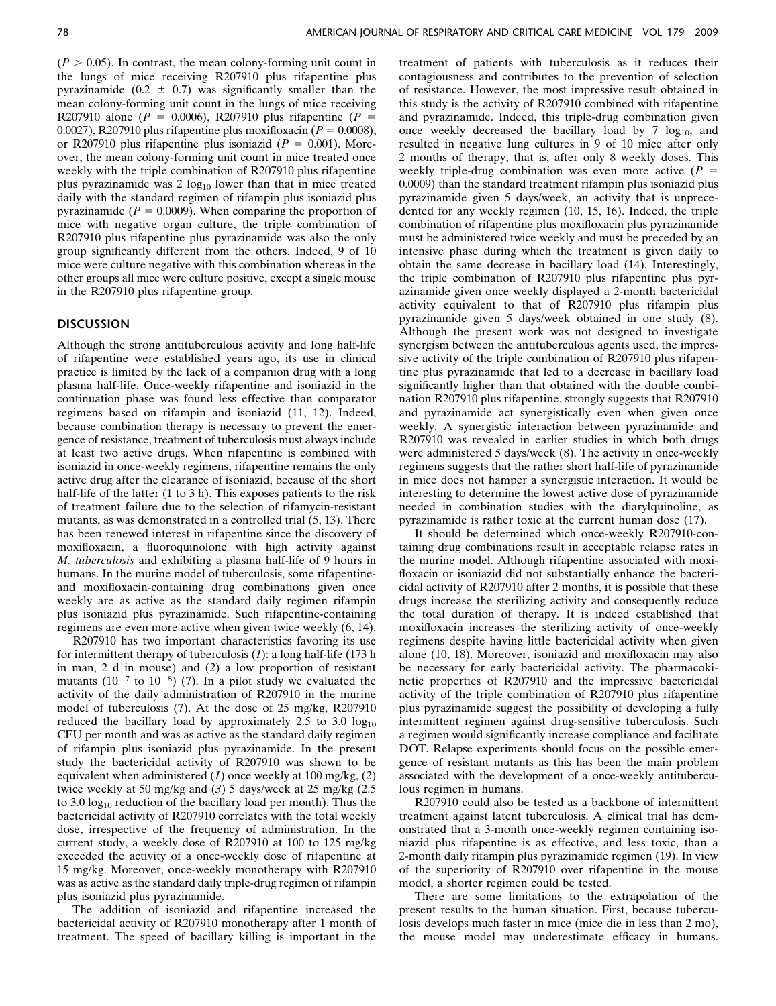$(P > 0.05)$ . In contrast, the mean colony-forming unit count in the lungs of mice receiving R207910 plus rifapentine plus pyrazinamide (0.2  $\pm$  0.7) was significantly smaller than the mean colony-forming unit count in the lungs of mice receiving R207910 alone ( $P = 0.0006$ ), R207910 plus rifapentine ( $P =$ 0.0027), R207910 plus rifapentine plus moxifloxacin ( $P = 0.0008$ ), or R207910 plus rifapentine plus isoniazid ( $P = 0.001$ ). Moreover, the mean colony-forming unit count in mice treated once weekly with the triple combination of R207910 plus rifapentine plus pyrazinamide was  $2 \log_{10}$  lower than that in mice treated daily with the standard regimen of rifampin plus isoniazid plus pyrazinamide ( $P = 0.0009$ ). When comparing the proportion of mice with negative organ culture, the triple combination of R207910 plus rifapentine plus pyrazinamide was also the only group significantly different from the others. Indeed, 9 of 10 mice were culture negative with this combination whereas in the other groups all mice were culture positive, except a single mouse in the R207910 plus rifapentine group.

### DISCUSSION

Although the strong antituberculous activity and long half-life of rifapentine were established years ago, its use in clinical practice is limited by the lack of a companion drug with a long plasma half-life. Once-weekly rifapentine and isoniazid in the continuation phase was found less effective than comparator regimens based on rifampin and isoniazid (11, 12). Indeed, because combination therapy is necessary to prevent the emergence of resistance, treatment of tuberculosis must always include at least two active drugs. When rifapentine is combined with isoniazid in once-weekly regimens, rifapentine remains the only active drug after the clearance of isoniazid, because of the short half-life of the latter (1 to 3 h). This exposes patients to the risk of treatment failure due to the selection of rifamycin-resistant mutants, as was demonstrated in a controlled trial (5, 13). There has been renewed interest in rifapentine since the discovery of moxifloxacin, a fluoroquinolone with high activity against M. tuberculosis and exhibiting a plasma half-life of 9 hours in humans. In the murine model of tuberculosis, some rifapentineand moxifloxacin-containing drug combinations given once weekly are as active as the standard daily regimen rifampin plus isoniazid plus pyrazinamide. Such rifapentine-containing regimens are even more active when given twice weekly (6, 14).

R207910 has two important characteristics favoring its use for intermittent therapy of tuberculosis  $(1)$ : a long half-life  $(173 h)$ in man, 2 d in mouse) and (2) a low proportion of resistant mutants ( $10^{-7}$  to  $10^{-8}$ ) (7). In a pilot study we evaluated the activity of the daily administration of R207910 in the murine model of tuberculosis (7). At the dose of 25 mg/kg, R207910 reduced the bacillary load by approximately  $2.5$  to  $3.0 \text{ log}_{10}$ CFU per month and was as active as the standard daily regimen of rifampin plus isoniazid plus pyrazinamide. In the present study the bactericidal activity of R207910 was shown to be equivalent when administered  $(1)$  once weekly at 100 mg/kg,  $(2)$ twice weekly at 50 mg/kg and (3) 5 days/week at 25 mg/kg (2.5 to 3.0 log<sub>10</sub> reduction of the bacillary load per month). Thus the bactericidal activity of R207910 correlates with the total weekly dose, irrespective of the frequency of administration. In the current study, a weekly dose of R207910 at 100 to 125 mg/kg exceeded the activity of a once-weekly dose of rifapentine at 15 mg/kg. Moreover, once-weekly monotherapy with R207910 was as active as the standard daily triple-drug regimen of rifampin plus isoniazid plus pyrazinamide.

The addition of isoniazid and rifapentine increased the bactericidal activity of R207910 monotherapy after 1 month of treatment. The speed of bacillary killing is important in the treatment of patients with tuberculosis as it reduces their contagiousness and contributes to the prevention of selection of resistance. However, the most impressive result obtained in this study is the activity of R207910 combined with rifapentine and pyrazinamide. Indeed, this triple-drug combination given once weekly decreased the bacillary load by 7  $log_{10}$ , and resulted in negative lung cultures in 9 of 10 mice after only 2 months of therapy, that is, after only 8 weekly doses. This weekly triple-drug combination was even more active  $(P =$ 0.0009) than the standard treatment rifampin plus isoniazid plus pyrazinamide given 5 days/week, an activity that is unprecedented for any weekly regimen (10, 15, 16). Indeed, the triple combination of rifapentine plus moxifloxacin plus pyrazinamide must be administered twice weekly and must be preceded by an intensive phase during which the treatment is given daily to obtain the same decrease in bacillary load (14). Interestingly, the triple combination of R207910 plus rifapentine plus pyrazinamide given once weekly displayed a 2-month bactericidal activity equivalent to that of R207910 plus rifampin plus pyrazinamide given 5 days/week obtained in one study (8). Although the present work was not designed to investigate synergism between the antituberculous agents used, the impressive activity of the triple combination of R207910 plus rifapentine plus pyrazinamide that led to a decrease in bacillary load significantly higher than that obtained with the double combination R207910 plus rifapentine, strongly suggests that R207910 and pyrazinamide act synergistically even when given once weekly. A synergistic interaction between pyrazinamide and R207910 was revealed in earlier studies in which both drugs were administered 5 days/week (8). The activity in once-weekly regimens suggests that the rather short half-life of pyrazinamide in mice does not hamper a synergistic interaction. It would be interesting to determine the lowest active dose of pyrazinamide needed in combination studies with the diarylquinoline, as pyrazinamide is rather toxic at the current human dose (17).

It should be determined which once-weekly R207910-containing drug combinations result in acceptable relapse rates in the murine model. Although rifapentine associated with moxifloxacin or isoniazid did not substantially enhance the bactericidal activity of R207910 after 2 months, it is possible that these drugs increase the sterilizing activity and consequently reduce the total duration of therapy. It is indeed established that moxifloxacin increases the sterilizing activity of once-weekly regimens despite having little bactericidal activity when given alone (10, 18). Moreover, isoniazid and moxifloxacin may also be necessary for early bactericidal activity. The pharmacokinetic properties of R207910 and the impressive bactericidal activity of the triple combination of R207910 plus rifapentine plus pyrazinamide suggest the possibility of developing a fully intermittent regimen against drug-sensitive tuberculosis. Such a regimen would significantly increase compliance and facilitate DOT. Relapse experiments should focus on the possible emergence of resistant mutants as this has been the main problem associated with the development of a once-weekly antituberculous regimen in humans.

R207910 could also be tested as a backbone of intermittent treatment against latent tuberculosis. A clinical trial has demonstrated that a 3-month once-weekly regimen containing isoniazid plus rifapentine is as effective, and less toxic, than a 2-month daily rifampin plus pyrazinamide regimen (19). In view of the superiority of R207910 over rifapentine in the mouse model, a shorter regimen could be tested.

There are some limitations to the extrapolation of the present results to the human situation. First, because tuberculosis develops much faster in mice (mice die in less than 2 mo), the mouse model may underestimate efficacy in humans.